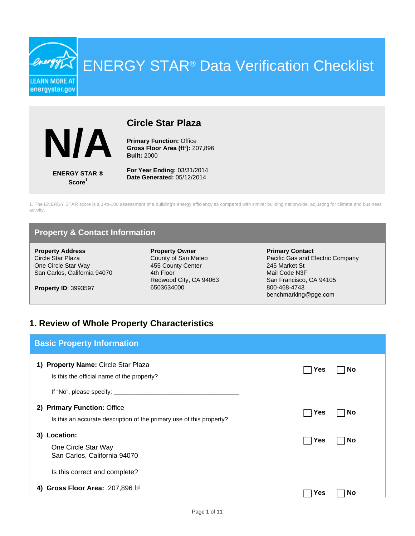ENERGY STAR® Data Verification Checklist



**LEARN MORE AT** energystar.gov

### **Circle Star Plaza**

**Primary Function: Office Gross Floor Area (ft²):** 207,896 **Built:** 2000

**ENERGY STAR ® Score<sup>1</sup>**

**For Year Ending:** 03/31/2014 **Date Generated:** 05/12/2014

1. The ENERGY STAR score is a 1-to-100 assessment of a building's energy efficiency as compared with similar building nationwide, adjusting for climate and business activity.

### **Property & Contact Information**

**Property Address** Circle Star Plaza One Circle Star Way San Carlos, California 94070

**Property ID**: 3993597

**Property Owner** County of San Mateo 455 County Center 4th Floor Redwood City, CA 94063 6503634000

**Primary Contact** Pacific Gas and Electric Company 245 Market St Mail Code N3F San Francisco, CA 94105 800-468-4743 benchmarking@pge.com

#### **1. Review of Whole Property Characteristics**

| <b>Basic Property Information</b>                                                                   |     |           |
|-----------------------------------------------------------------------------------------------------|-----|-----------|
| 1) Property Name: Circle Star Plaza<br>Is this the official name of the property?                   | Yes | <b>No</b> |
| 2) Primary Function: Office<br>Is this an accurate description of the primary use of this property? | Yes | <b>No</b> |
| Location:<br>3)<br>One Circle Star Way<br>San Carlos, California 94070                              | Yes | <b>No</b> |
| Is this correct and complete?                                                                       |     |           |
| Gross Floor Area: 207,896 ft <sup>2</sup><br>4)                                                     | es: | Nο        |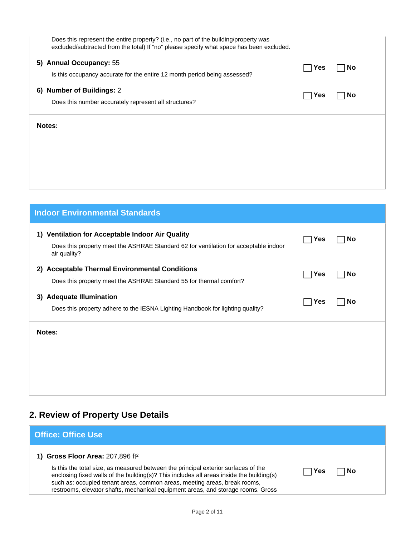| Does this represent the entire property? (i.e., no part of the building/property was<br>excluded/subtracted from the total) If "no" please specify what space has been excluded. |     |           |
|----------------------------------------------------------------------------------------------------------------------------------------------------------------------------------|-----|-----------|
| 5) Annual Occupancy: 55<br>Is this occupancy accurate for the entire 12 month period being assessed?                                                                             | Yes | <b>No</b> |
| 6) Number of Buildings: 2<br>Does this number accurately represent all structures?                                                                                               | Yes | <b>No</b> |
| Notes:                                                                                                                                                                           |     |           |
|                                                                                                                                                                                  |     |           |
|                                                                                                                                                                                  |     |           |

| <b>Indoor Environmental Standards</b>                                                                                                                       |     |           |
|-------------------------------------------------------------------------------------------------------------------------------------------------------------|-----|-----------|
| Ventilation for Acceptable Indoor Air Quality<br>1)<br>Does this property meet the ASHRAE Standard 62 for ventilation for acceptable indoor<br>air quality? | Yes | No        |
| 2) Acceptable Thermal Environmental Conditions<br>Does this property meet the ASHRAE Standard 55 for thermal comfort?                                       | Yes | <b>No</b> |
| <b>Adequate Illumination</b><br>3)<br>Does this property adhere to the IESNA Lighting Handbook for lighting quality?                                        | Yes | <b>No</b> |
| Notes:                                                                                                                                                      |     |           |

# **2. Review of Property Use Details**

| <b>Office: Office Use</b>                                                                                                                                                                                                                                                                                                                                                                         |     |    |  |
|---------------------------------------------------------------------------------------------------------------------------------------------------------------------------------------------------------------------------------------------------------------------------------------------------------------------------------------------------------------------------------------------------|-----|----|--|
| 1) Gross Floor Area: $207,896$ ft <sup>2</sup><br>Is this the total size, as measured between the principal exterior surfaces of the<br>enclosing fixed walls of the building(s)? This includes all areas inside the building(s)<br>such as: occupied tenant areas, common areas, meeting areas, break rooms,<br>restrooms, elevator shafts, mechanical equipment areas, and storage rooms. Gross | Yes | No |  |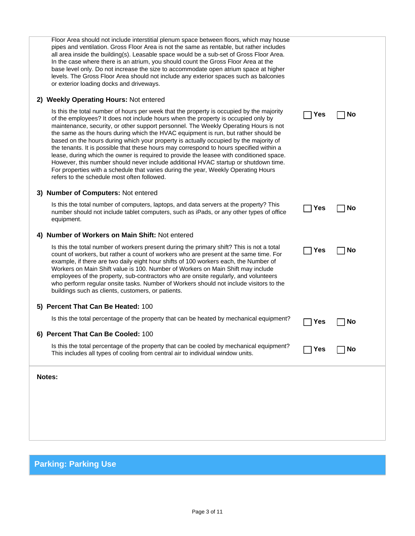| Floor Area should not include interstitial plenum space between floors, which may house<br>pipes and ventilation. Gross Floor Area is not the same as rentable, but rather includes<br>all area inside the building(s). Leasable space would be a sub-set of Gross Floor Area.<br>In the case where there is an atrium, you should count the Gross Floor Area at the<br>base level only. Do not increase the size to accommodate open atrium space at higher<br>levels. The Gross Floor Area should not include any exterior spaces such as balconies<br>or exterior loading docks and driveways.<br>2) Weekly Operating Hours: Not entered<br>Is this the total number of hours per week that the property is occupied by the majority<br>of the employees? It does not include hours when the property is occupied only by<br>maintenance, security, or other support personnel. The Weekly Operating Hours is not<br>the same as the hours during which the HVAC equipment is run, but rather should be<br>based on the hours during which your property is actually occupied by the majority of<br>the tenants. It is possible that these hours may correspond to hours specified within a | Yes | <b>No</b> |
|------------------------------------------------------------------------------------------------------------------------------------------------------------------------------------------------------------------------------------------------------------------------------------------------------------------------------------------------------------------------------------------------------------------------------------------------------------------------------------------------------------------------------------------------------------------------------------------------------------------------------------------------------------------------------------------------------------------------------------------------------------------------------------------------------------------------------------------------------------------------------------------------------------------------------------------------------------------------------------------------------------------------------------------------------------------------------------------------------------------------------------------------------------------------------------------------|-----|-----------|
| lease, during which the owner is required to provide the leasee with conditioned space.<br>However, this number should never include additional HVAC startup or shutdown time.<br>For properties with a schedule that varies during the year, Weekly Operating Hours<br>refers to the schedule most often followed.                                                                                                                                                                                                                                                                                                                                                                                                                                                                                                                                                                                                                                                                                                                                                                                                                                                                            |     |           |
| 3) Number of Computers: Not entered                                                                                                                                                                                                                                                                                                                                                                                                                                                                                                                                                                                                                                                                                                                                                                                                                                                                                                                                                                                                                                                                                                                                                            |     |           |
| Is this the total number of computers, laptops, and data servers at the property? This<br>number should not include tablet computers, such as iPads, or any other types of office<br>equipment.                                                                                                                                                                                                                                                                                                                                                                                                                                                                                                                                                                                                                                                                                                                                                                                                                                                                                                                                                                                                | Yes | <b>No</b> |
| 4) Number of Workers on Main Shift: Not entered                                                                                                                                                                                                                                                                                                                                                                                                                                                                                                                                                                                                                                                                                                                                                                                                                                                                                                                                                                                                                                                                                                                                                |     |           |
| Is this the total number of workers present during the primary shift? This is not a total<br>count of workers, but rather a count of workers who are present at the same time. For<br>example, if there are two daily eight hour shifts of 100 workers each, the Number of<br>Workers on Main Shift value is 100. Number of Workers on Main Shift may include<br>employees of the property, sub-contractors who are onsite regularly, and volunteers<br>who perform regular onsite tasks. Number of Workers should not include visitors to the<br>buildings such as clients, customers, or patients.                                                                                                                                                                                                                                                                                                                                                                                                                                                                                                                                                                                           | Yes | <b>No</b> |
| 5) Percent That Can Be Heated: 100                                                                                                                                                                                                                                                                                                                                                                                                                                                                                                                                                                                                                                                                                                                                                                                                                                                                                                                                                                                                                                                                                                                                                             |     |           |
| Is this the total percentage of the property that can be heated by mechanical equipment?                                                                                                                                                                                                                                                                                                                                                                                                                                                                                                                                                                                                                                                                                                                                                                                                                                                                                                                                                                                                                                                                                                       | Yes | <b>No</b> |
| 6) Percent That Can Be Cooled: 100                                                                                                                                                                                                                                                                                                                                                                                                                                                                                                                                                                                                                                                                                                                                                                                                                                                                                                                                                                                                                                                                                                                                                             |     |           |
| Is this the total percentage of the property that can be cooled by mechanical equipment?<br>This includes all types of cooling from central air to individual window units.                                                                                                                                                                                                                                                                                                                                                                                                                                                                                                                                                                                                                                                                                                                                                                                                                                                                                                                                                                                                                    | Yes | <b>No</b> |
| Notes:                                                                                                                                                                                                                                                                                                                                                                                                                                                                                                                                                                                                                                                                                                                                                                                                                                                                                                                                                                                                                                                                                                                                                                                         |     |           |
|                                                                                                                                                                                                                                                                                                                                                                                                                                                                                                                                                                                                                                                                                                                                                                                                                                                                                                                                                                                                                                                                                                                                                                                                |     |           |
|                                                                                                                                                                                                                                                                                                                                                                                                                                                                                                                                                                                                                                                                                                                                                                                                                                                                                                                                                                                                                                                                                                                                                                                                |     |           |
|                                                                                                                                                                                                                                                                                                                                                                                                                                                                                                                                                                                                                                                                                                                                                                                                                                                                                                                                                                                                                                                                                                                                                                                                |     |           |
|                                                                                                                                                                                                                                                                                                                                                                                                                                                                                                                                                                                                                                                                                                                                                                                                                                                                                                                                                                                                                                                                                                                                                                                                |     |           |

## **Parking: Parking Use**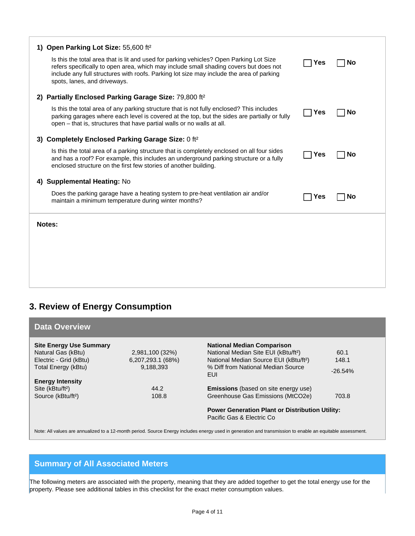| Open Parking Lot Size: 55,600 ft <sup>2</sup><br>1)                                                                                                                                                                                                                                                          |     |    |
|--------------------------------------------------------------------------------------------------------------------------------------------------------------------------------------------------------------------------------------------------------------------------------------------------------------|-----|----|
| Is this the total area that is lit and used for parking vehicles? Open Parking Lot Size<br>refers specifically to open area, which may include small shading covers but does not<br>include any full structures with roofs. Parking lot size may include the area of parking<br>spots, lanes, and driveways. | Yes | No |
| 2) Partially Enclosed Parking Garage Size: 79,800 ft <sup>2</sup>                                                                                                                                                                                                                                            |     |    |
| Is this the total area of any parking structure that is not fully enclosed? This includes<br>parking garages where each level is covered at the top, but the sides are partially or fully<br>open – that is, structures that have partial walls or no walls at all.                                          | Yes | No |
| Completely Enclosed Parking Garage Size: 0 ft <sup>2</sup><br>3)                                                                                                                                                                                                                                             |     |    |
| Is this the total area of a parking structure that is completely enclosed on all four sides<br>and has a roof? For example, this includes an underground parking structure or a fully<br>enclosed structure on the first few stories of another building.                                                    | Yes | No |
| 4) Supplemental Heating: No                                                                                                                                                                                                                                                                                  |     |    |
| Does the parking garage have a heating system to pre-heat ventilation air and/or<br>maintain a minimum temperature during winter months?                                                                                                                                                                     | Yes | No |
| Notes:                                                                                                                                                                                                                                                                                                       |     |    |
|                                                                                                                                                                                                                                                                                                              |     |    |
|                                                                                                                                                                                                                                                                                                              |     |    |
|                                                                                                                                                                                                                                                                                                              |     |    |
|                                                                                                                                                                                                                                                                                                              |     |    |

### **3. Review of Energy Consumption**

| <b>Data Overview</b>           |                   |                                                                                      |            |
|--------------------------------|-------------------|--------------------------------------------------------------------------------------|------------|
| <b>Site Energy Use Summary</b> |                   | <b>National Median Comparison</b>                                                    |            |
| Natural Gas (kBtu)             | 2,981,100 (32%)   | National Median Site EUI (kBtu/ft <sup>2</sup> )                                     | 60.1       |
| Electric - Grid (kBtu)         | 6,207,293.1 (68%) | National Median Source EUI (kBtu/ft <sup>2</sup> )                                   | 148.1      |
| Total Energy (kBtu)            | 9,188,393         | % Diff from National Median Source<br>EUI                                            | $-26.54\%$ |
| <b>Energy Intensity</b>        |                   |                                                                                      |            |
| Site (kBtu/ft <sup>2</sup> )   | 44.2              | <b>Emissions</b> (based on site energy use)                                          |            |
| Source (kBtu/ft <sup>2</sup> ) | 108.8             | Greenhouse Gas Emissions (MtCO2e)                                                    | 703.8      |
|                                |                   | <b>Power Generation Plant or Distribution Utility:</b><br>Pacific Gas & Electric Co. |            |

Note: All values are annualized to a 12-month period. Source Energy includes energy used in generation and transmission to enable an equitable assessment.

### **Summary of All Associated Meters**

The following meters are associated with the property, meaning that they are added together to get the total energy use for the property. Please see additional tables in this checklist for the exact meter consumption values.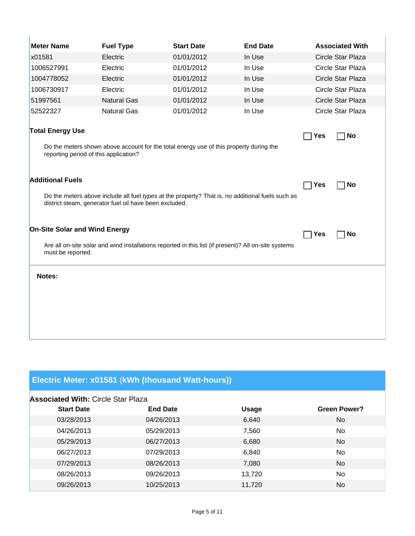| <b>Meter Name</b>                                                                                                                                                                     | <b>Fuel Type</b>                                                                                     | <b>Start Date</b> | <b>End Date</b> |     | <b>Associated With</b> |
|---------------------------------------------------------------------------------------------------------------------------------------------------------------------------------------|------------------------------------------------------------------------------------------------------|-------------------|-----------------|-----|------------------------|
| x01581                                                                                                                                                                                | Electric                                                                                             | 01/01/2012        | In Use          |     | Circle Star Plaza      |
| 1006527991                                                                                                                                                                            | Electric                                                                                             | 01/01/2012        | In Use          |     | Circle Star Plaza      |
| 1004778052                                                                                                                                                                            | Electric                                                                                             | 01/01/2012        | In Use          |     | Circle Star Plaza      |
| 1006730917                                                                                                                                                                            | Electric                                                                                             | 01/01/2012        | In Use          |     | Circle Star Plaza      |
| 51997561                                                                                                                                                                              | <b>Natural Gas</b>                                                                                   | 01/01/2012        | In Use          |     | Circle Star Plaza      |
| 52522327                                                                                                                                                                              | <b>Natural Gas</b>                                                                                   | 01/01/2012        | In Use          |     | Circle Star Plaza      |
| <b>Total Energy Use</b><br>reporting period of this application?                                                                                                                      | Do the meters shown above account for the total energy use of this property during the               |                   |                 | Yes | <b>No</b>              |
| <b>Additional Fuels</b><br>Do the meters above include all fuel types at the property? That is, no additional fuels such as<br>district steam, generator fuel oil have been excluded. |                                                                                                      |                   | Yes             | No  |                        |
| <b>On-Site Solar and Wind Energy</b>                                                                                                                                                  |                                                                                                      |                   |                 | Yes | <b>No</b>              |
| must be reported.                                                                                                                                                                     | Are all on-site solar and wind installations reported in this list (if present)? All on-site systems |                   |                 |     |                        |
| Notes:                                                                                                                                                                                |                                                                                                      |                   |                 |     |                        |

# **Electric Meter: x01581** (**kWh (thousand Watt-hours))**

| <b>Associated With: Circle Star Plaza</b> |                 |              |                     |  |  |
|-------------------------------------------|-----------------|--------------|---------------------|--|--|
| <b>Start Date</b>                         | <b>End Date</b> | <b>Usage</b> | <b>Green Power?</b> |  |  |
| 03/28/2013                                | 04/26/2013      | 6,640        | No.                 |  |  |
| 04/26/2013                                | 05/29/2013      | 7,560        | No.                 |  |  |
| 05/29/2013                                | 06/27/2013      | 6,680        | No                  |  |  |
| 06/27/2013                                | 07/29/2013      | 6,840        | <b>No</b>           |  |  |
| 07/29/2013                                | 08/26/2013      | 7,080        | No.                 |  |  |
| 08/26/2013                                | 09/26/2013      | 13,720       | No                  |  |  |
| 09/26/2013                                | 10/25/2013      | 11.720       | No                  |  |  |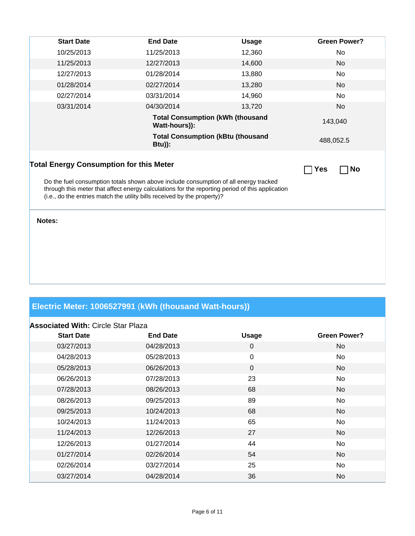| <b>Start Date</b>                                                                                                                                                                                                                                                                                                                                | <b>End Date</b> | <b>Usage</b>                             | <b>Green Power?</b> |  |
|--------------------------------------------------------------------------------------------------------------------------------------------------------------------------------------------------------------------------------------------------------------------------------------------------------------------------------------------------|-----------------|------------------------------------------|---------------------|--|
| 10/25/2013                                                                                                                                                                                                                                                                                                                                       | 11/25/2013      | 12,360                                   | No                  |  |
| 11/25/2013                                                                                                                                                                                                                                                                                                                                       | 12/27/2013      | 14,600                                   | No                  |  |
| 12/27/2013                                                                                                                                                                                                                                                                                                                                       | 01/28/2014      | 13,880                                   | No                  |  |
| 01/28/2014                                                                                                                                                                                                                                                                                                                                       | 02/27/2014      | 13,280                                   | No                  |  |
| 02/27/2014                                                                                                                                                                                                                                                                                                                                       | 03/31/2014      | 14,960                                   | No                  |  |
| 03/31/2014                                                                                                                                                                                                                                                                                                                                       | 04/30/2014      | 13,720                                   | No                  |  |
|                                                                                                                                                                                                                                                                                                                                                  | Watt-hours)):   | <b>Total Consumption (kWh (thousand</b>  | 143,040             |  |
|                                                                                                                                                                                                                                                                                                                                                  | <b>Btu)):</b>   | <b>Total Consumption (kBtu (thousand</b> | 488,052.5           |  |
| <b>Total Energy Consumption for this Meter</b><br><b>Yes</b><br><b>No</b><br>Do the fuel consumption totals shown above include consumption of all energy tracked<br>through this meter that affect energy calculations for the reporting period of this application<br>(i.e., do the entries match the utility bills received by the property)? |                 |                                          |                     |  |
| Notes:                                                                                                                                                                                                                                                                                                                                           |                 |                                          |                     |  |

## **Electric Meter: 1006527991** (**kWh (thousand Watt-hours))**

| <b>Associated With: Circle Star Plaza</b> |                 |              |                     |
|-------------------------------------------|-----------------|--------------|---------------------|
| <b>Start Date</b>                         | <b>End Date</b> | <b>Usage</b> | <b>Green Power?</b> |
| 03/27/2013                                | 04/28/2013      | $\mathbf 0$  | No.                 |
| 04/28/2013                                | 05/28/2013      | 0            | No                  |
| 05/28/2013                                | 06/26/2013      | $\mathbf 0$  | No.                 |
| 06/26/2013                                | 07/28/2013      | 23           | No                  |
| 07/28/2013                                | 08/26/2013      | 68           | No.                 |
| 08/26/2013                                | 09/25/2013      | 89           | No                  |
| 09/25/2013                                | 10/24/2013      | 68           | No.                 |
| 10/24/2013                                | 11/24/2013      | 65           | No                  |
| 11/24/2013                                | 12/26/2013      | 27           | No.                 |
| 12/26/2013                                | 01/27/2014      | 44           | No                  |
| 01/27/2014                                | 02/26/2014      | 54           | No.                 |
| 02/26/2014                                | 03/27/2014      | 25           | No                  |
| 03/27/2014                                | 04/28/2014      | 36           | No.                 |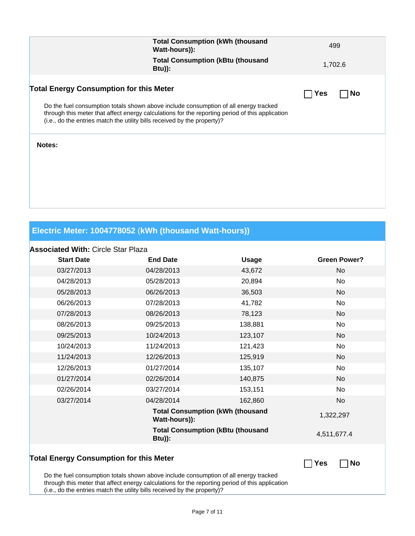|                                                | <b>Total Consumption (kWh (thousand</b><br>Watt-hours)):                                                                                                                                                                                                            | 499              |
|------------------------------------------------|---------------------------------------------------------------------------------------------------------------------------------------------------------------------------------------------------------------------------------------------------------------------|------------------|
|                                                | <b>Total Consumption (kBtu (thousand</b><br>$Btu)$ :                                                                                                                                                                                                                | 1,702.6          |
| <b>Total Energy Consumption for this Meter</b> |                                                                                                                                                                                                                                                                     | <b>No</b><br>Yes |
|                                                | Do the fuel consumption totals shown above include consumption of all energy tracked<br>through this meter that affect energy calculations for the reporting period of this application<br>(i.e., do the entries match the utility bills received by the property)? |                  |
| Notes:                                         |                                                                                                                                                                                                                                                                     |                  |
|                                                |                                                                                                                                                                                                                                                                     |                  |
|                                                |                                                                                                                                                                                                                                                                     |                  |
|                                                |                                                                                                                                                                                                                                                                     |                  |

### **Electric Meter: 1004778052** (**kWh (thousand Watt-hours))**

#### **Associated With:** Circle Star Plaza

| <b>Start Date</b>                              | <b>End Date</b>                                                                      | <b>Usage</b>                             | <b>Green Power?</b> |
|------------------------------------------------|--------------------------------------------------------------------------------------|------------------------------------------|---------------------|
| 03/27/2013                                     | 04/28/2013                                                                           | 43,672                                   | <b>No</b>           |
| 04/28/2013                                     | 05/28/2013                                                                           | 20,894                                   | No                  |
| 05/28/2013                                     | 06/26/2013                                                                           | 36,503                                   | <b>No</b>           |
| 06/26/2013                                     | 07/28/2013                                                                           | 41,782                                   | No                  |
| 07/28/2013                                     | 08/26/2013                                                                           | 78,123                                   | <b>No</b>           |
| 08/26/2013                                     | 09/25/2013                                                                           | 138,881                                  | No                  |
| 09/25/2013                                     | 10/24/2013                                                                           | 123,107                                  | <b>No</b>           |
| 10/24/2013                                     | 11/24/2013                                                                           | 121,423                                  | No                  |
| 11/24/2013                                     | 12/26/2013                                                                           | 125,919                                  | No                  |
| 12/26/2013                                     | 01/27/2014                                                                           | 135,107                                  | No                  |
| 01/27/2014                                     | 02/26/2014                                                                           | 140,875                                  | <b>No</b>           |
| 02/26/2014                                     | 03/27/2014                                                                           | 153,151                                  | No                  |
| 03/27/2014                                     | 04/28/2014                                                                           | 162,860                                  | No                  |
|                                                | <b>Total Consumption (kWh (thousand</b><br>Watt-hours)):                             |                                          | 1,322,297           |
|                                                | $Btu)$ :                                                                             | <b>Total Consumption (kBtu (thousand</b> | 4,511,677.4         |
| <b>Total Energy Consumption for this Meter</b> | Do the fuel consumption totals shown above include consumption of all energy tracked |                                          | <b>No</b><br>Yes    |

through this meter that affect energy calculations for the reporting period of this application

(i.e., do the entries match the utility bills received by the property)?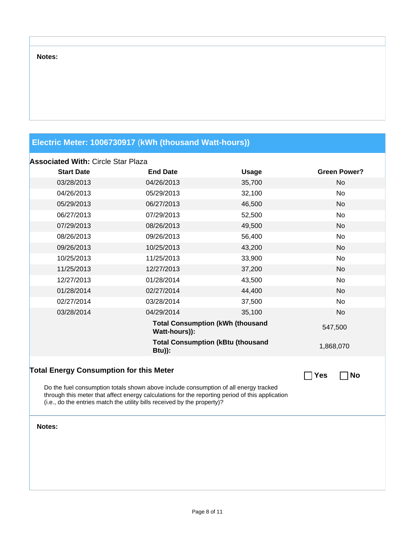#### **Notes:**

### **Electric Meter: 1006730917** (**kWh (thousand Watt-hours))**

#### **Associated With:** Circle Star Plaza

| ASSUCIALEU VIIIII. UIIUE JIAI I IAZA                     |                 |                                          |                     |  |
|----------------------------------------------------------|-----------------|------------------------------------------|---------------------|--|
| <b>Start Date</b>                                        | <b>End Date</b> | <b>Usage</b>                             | <b>Green Power?</b> |  |
| 03/28/2013                                               | 04/26/2013      | 35,700                                   | No                  |  |
| 04/26/2013                                               | 05/29/2013      | 32,100                                   | No                  |  |
| 05/29/2013                                               | 06/27/2013      | 46,500                                   | <b>No</b>           |  |
| 06/27/2013                                               | 07/29/2013      | 52,500                                   | No                  |  |
| 07/29/2013                                               | 08/26/2013      | 49,500                                   | <b>No</b>           |  |
| 08/26/2013                                               | 09/26/2013      | 56,400                                   | No                  |  |
| 09/26/2013                                               | 10/25/2013      | 43,200                                   | No                  |  |
| 10/25/2013                                               | 11/25/2013      | 33,900                                   | No                  |  |
| 11/25/2013                                               | 12/27/2013      | 37,200                                   | <b>No</b>           |  |
| 12/27/2013                                               | 01/28/2014      | 43,500                                   | No                  |  |
| 01/28/2014                                               | 02/27/2014      | 44,400                                   | No                  |  |
| 02/27/2014                                               | 03/28/2014      | 37,500                                   | <b>No</b>           |  |
| 03/28/2014                                               | 04/29/2014      | 35,100                                   | No                  |  |
| <b>Total Consumption (kWh (thousand</b><br>Watt-hours)): |                 |                                          | 547,500             |  |
|                                                          | $Btu)$ :        | <b>Total Consumption (kBtu (thousand</b> | 1,868,070           |  |
| <b>Total Energy Consumption for this Meter</b>           |                 |                                          | No<br>Yes           |  |

Do the fuel consumption totals shown above include consumption of all energy tracked through this meter that affect energy calculations for the reporting period of this application (i.e., do the entries match the utility bills received by the property)?

**Notes:**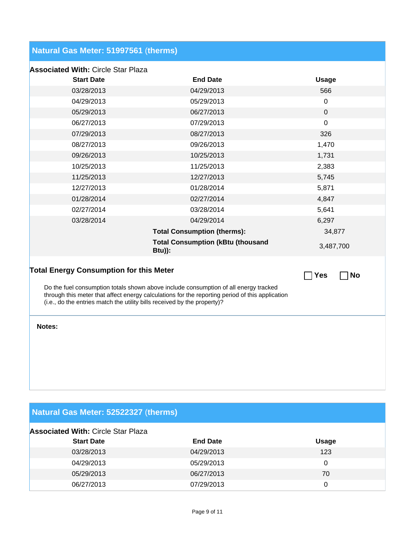## **Natural Gas Meter: 51997561** (**therms)**

| <b>Associated With: Circle Star Plaza</b> |  |
|-------------------------------------------|--|
|-------------------------------------------|--|

| <b>Start Date</b>                                                                                                                                                                                                                                                   | <b>End Date</b>                                           | <b>Usage</b>     |  |
|---------------------------------------------------------------------------------------------------------------------------------------------------------------------------------------------------------------------------------------------------------------------|-----------------------------------------------------------|------------------|--|
| 03/28/2013                                                                                                                                                                                                                                                          | 04/29/2013                                                | 566              |  |
| 04/29/2013                                                                                                                                                                                                                                                          | 05/29/2013                                                | $\mathbf 0$      |  |
| 05/29/2013                                                                                                                                                                                                                                                          | 06/27/2013                                                | $\boldsymbol{0}$ |  |
| 06/27/2013                                                                                                                                                                                                                                                          | 07/29/2013                                                | $\mathbf 0$      |  |
| 07/29/2013                                                                                                                                                                                                                                                          | 08/27/2013                                                | 326              |  |
| 08/27/2013                                                                                                                                                                                                                                                          | 09/26/2013                                                | 1,470            |  |
| 09/26/2013                                                                                                                                                                                                                                                          | 10/25/2013                                                | 1,731            |  |
| 10/25/2013                                                                                                                                                                                                                                                          | 11/25/2013                                                | 2,383            |  |
| 11/25/2013                                                                                                                                                                                                                                                          | 12/27/2013                                                | 5,745            |  |
| 12/27/2013                                                                                                                                                                                                                                                          | 01/28/2014                                                | 5,871            |  |
| 01/28/2014                                                                                                                                                                                                                                                          | 02/27/2014                                                | 4,847            |  |
| 02/27/2014                                                                                                                                                                                                                                                          | 03/28/2014                                                | 5,641            |  |
| 03/28/2014                                                                                                                                                                                                                                                          | 04/29/2014                                                | 6,297            |  |
|                                                                                                                                                                                                                                                                     | <b>Total Consumption (therms):</b>                        | 34,877           |  |
|                                                                                                                                                                                                                                                                     | <b>Total Consumption (kBtu (thousand</b><br><b>Btu)):</b> | 3,487,700        |  |
| <b>Total Energy Consumption for this Meter</b><br>No<br><b>Yes</b>                                                                                                                                                                                                  |                                                           |                  |  |
| Do the fuel consumption totals shown above include consumption of all energy tracked<br>through this meter that affect energy calculations for the reporting period of this application<br>(i.e., do the entries match the utility bills received by the property)? |                                                           |                  |  |
| Notes:                                                                                                                                                                                                                                                              |                                                           |                  |  |

| Natural Gas Meter: 52522327 (therms)      |
|-------------------------------------------|
| <b>Associated With: Circle Star Plaza</b> |

| <b>Start Date</b> | <b>End Date</b> | <b>Usage</b> |
|-------------------|-----------------|--------------|
| 03/28/2013        | 04/29/2013      | 123          |
| 04/29/2013        | 05/29/2013      | 0            |
| 05/29/2013        | 06/27/2013      | 70           |
| 06/27/2013        | 07/29/2013      |              |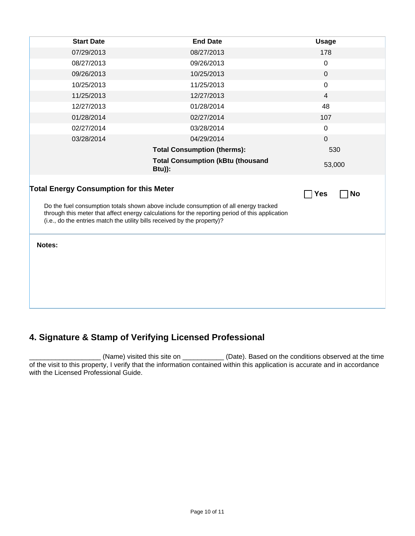| <b>Start Date</b>                                                                                                                                                                                                                                                                                                                         | <b>End Date</b>                                      | <b>Usage</b>   |  |
|-------------------------------------------------------------------------------------------------------------------------------------------------------------------------------------------------------------------------------------------------------------------------------------------------------------------------------------------|------------------------------------------------------|----------------|--|
| 07/29/2013                                                                                                                                                                                                                                                                                                                                | 08/27/2013                                           | 178            |  |
| 08/27/2013                                                                                                                                                                                                                                                                                                                                | 09/26/2013                                           | $\mathbf 0$    |  |
| 09/26/2013                                                                                                                                                                                                                                                                                                                                | 10/25/2013                                           | $\mathbf 0$    |  |
| 10/25/2013                                                                                                                                                                                                                                                                                                                                | 11/25/2013                                           | $\mathbf 0$    |  |
| 11/25/2013                                                                                                                                                                                                                                                                                                                                | 12/27/2013                                           | $\overline{4}$ |  |
| 12/27/2013                                                                                                                                                                                                                                                                                                                                | 01/28/2014                                           | 48             |  |
| 01/28/2014                                                                                                                                                                                                                                                                                                                                | 02/27/2014                                           | 107            |  |
| 02/27/2014                                                                                                                                                                                                                                                                                                                                | 03/28/2014                                           | $\pmb{0}$      |  |
| 03/28/2014                                                                                                                                                                                                                                                                                                                                | 04/29/2014                                           | $\mathbf 0$    |  |
|                                                                                                                                                                                                                                                                                                                                           | <b>Total Consumption (therms):</b>                   | 530            |  |
|                                                                                                                                                                                                                                                                                                                                           | <b>Total Consumption (kBtu (thousand</b><br>$Btu)$ : | 53,000         |  |
| <b>Total Energy Consumption for this Meter</b><br><b>No</b><br>Yes<br>Do the fuel consumption totals shown above include consumption of all energy tracked<br>through this meter that affect energy calculations for the reporting period of this application<br>(i.e., do the entries match the utility bills received by the property)? |                                                      |                |  |
| Notes:                                                                                                                                                                                                                                                                                                                                    |                                                      |                |  |

### **4. Signature & Stamp of Verifying Licensed Professional**

\_\_\_\_\_\_\_\_\_\_\_\_\_\_\_\_\_\_\_ (Name) visited this site on \_\_\_\_\_\_\_\_\_\_\_ (Date). Based on the conditions observed at the time of the visit to this property, I verify that the information contained within this application is accurate and in accordance with the Licensed Professional Guide.